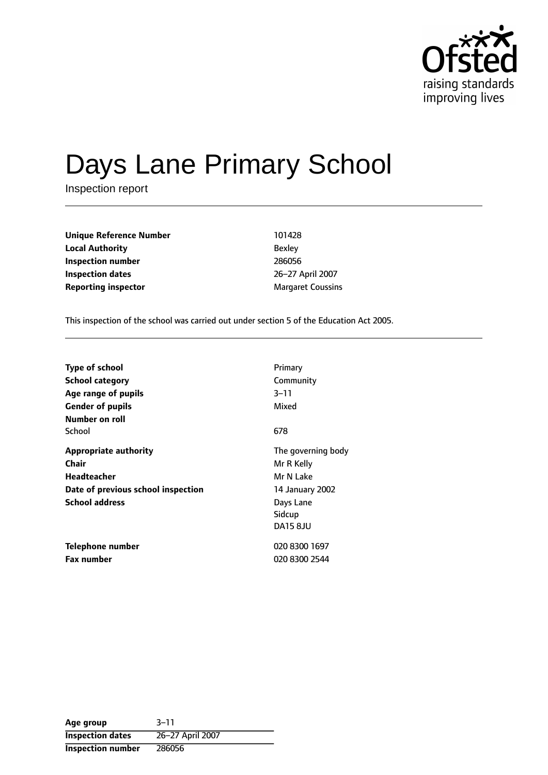

# Days Lane Primary School

Inspection report

**Unique Reference Number** 101428 **Local Authority** Bexley **Inspection number** 286056 **Inspection dates** 26-27 April 2007 **Reporting inspector** Margaret Coussins

This inspection of the school was carried out under section 5 of the Education Act 2005.

| <b>Type of school</b><br><b>School category</b><br>Age range of pupils<br><b>Gender of pupils</b><br>Number on roll | Primary<br>Community<br>$3 - 11$<br>Mixed                                                                  |
|---------------------------------------------------------------------------------------------------------------------|------------------------------------------------------------------------------------------------------------|
| School                                                                                                              | 678                                                                                                        |
| <b>Appropriate authority</b><br>Chair<br>Headteacher<br>Date of previous school inspection<br><b>School address</b> | The governing body<br>Mr R Kelly<br>Mr N Lake<br>14 January 2002<br>Days Lane<br>Sidcup<br><b>DA15 8JU</b> |
| Telephone number<br><b>Fax number</b>                                                                               | 020 8300 1697<br>020 8300 2544                                                                             |

**Age** group 3-11 **Inspection dates** 26-27 April 2007 **Inspection number** 286056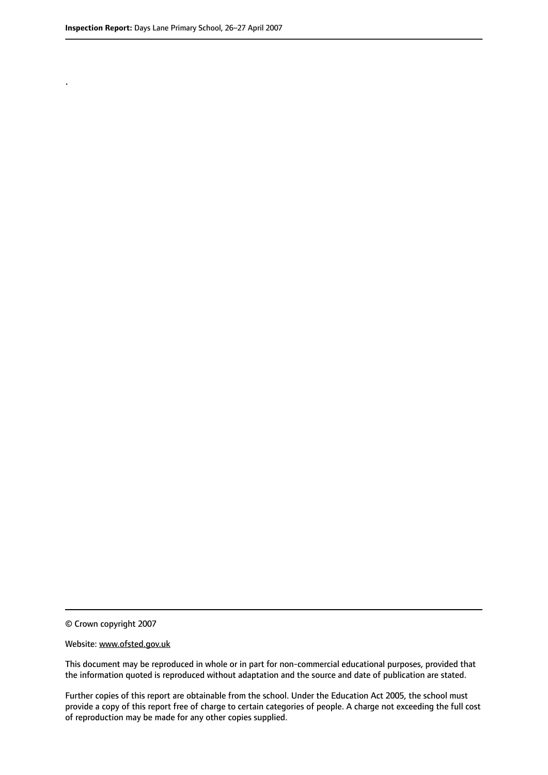.

© Crown copyright 2007

#### Website: www.ofsted.gov.uk

This document may be reproduced in whole or in part for non-commercial educational purposes, provided that the information quoted is reproduced without adaptation and the source and date of publication are stated.

Further copies of this report are obtainable from the school. Under the Education Act 2005, the school must provide a copy of this report free of charge to certain categories of people. A charge not exceeding the full cost of reproduction may be made for any other copies supplied.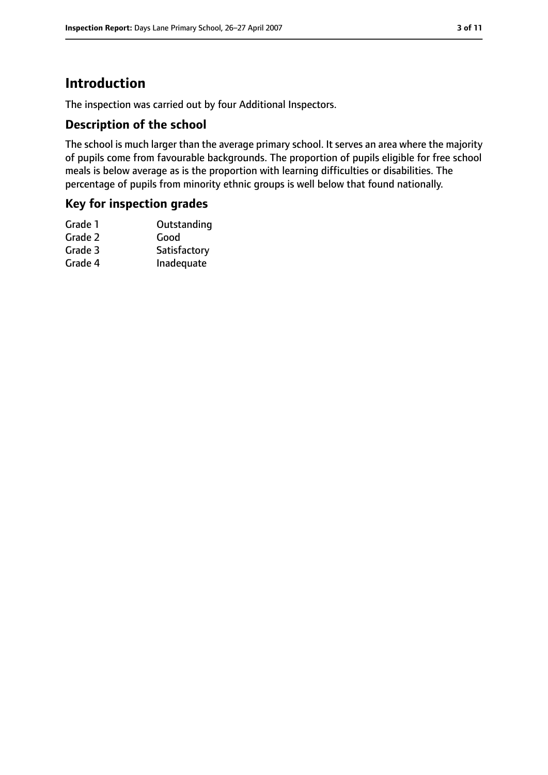### **Introduction**

The inspection was carried out by four Additional Inspectors.

#### **Description of the school**

The school is much larger than the average primary school. It serves an area where the majority of pupils come from favourable backgrounds. The proportion of pupils eligible for free school meals is below average as is the proportion with learning difficulties or disabilities. The percentage of pupils from minority ethnic groups is well below that found nationally.

#### **Key for inspection grades**

| Grade 1 | Outstanding  |
|---------|--------------|
| Grade 2 | Good         |
| Grade 3 | Satisfactory |
| Grade 4 | Inadequate   |
|         |              |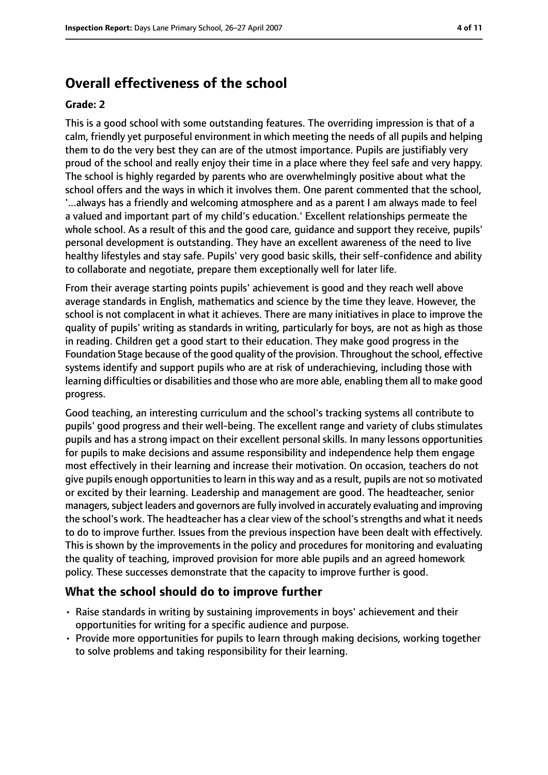### **Overall effectiveness of the school**

#### **Grade: 2**

This is a good school with some outstanding features. The overriding impression is that of a calm, friendly yet purposeful environment in which meeting the needs of all pupils and helping them to do the very best they can are of the utmost importance. Pupils are justifiably very proud of the school and really enjoy their time in a place where they feel safe and very happy. The school is highly regarded by parents who are overwhelmingly positive about what the school offers and the ways in which it involves them. One parent commented that the school, '...always has a friendly and welcoming atmosphere and as a parent I am always made to feel a valued and important part of my child's education.' Excellent relationships permeate the whole school. As a result of this and the good care, guidance and support they receive, pupils' personal development is outstanding. They have an excellent awareness of the need to live healthy lifestyles and stay safe. Pupils' very good basic skills, their self-confidence and ability to collaborate and negotiate, prepare them exceptionally well for later life.

From their average starting points pupils' achievement is good and they reach well above average standards in English, mathematics and science by the time they leave. However, the school is not complacent in what it achieves. There are many initiatives in place to improve the quality of pupils' writing as standards in writing, particularly for boys, are not as high as those in reading. Children get a good start to their education. They make good progress in the Foundation Stage because of the good quality of the provision. Throughout the school, effective systems identify and support pupils who are at risk of underachieving, including those with learning difficulties or disabilities and those who are more able, enabling them all to make good progress.

Good teaching, an interesting curriculum and the school's tracking systems all contribute to pupils' good progress and their well-being. The excellent range and variety of clubs stimulates pupils and has a strong impact on their excellent personal skills. In many lessons opportunities for pupils to make decisions and assume responsibility and independence help them engage most effectively in their learning and increase their motivation. On occasion, teachers do not give pupils enough opportunities to learn in this way and as a result, pupils are not so motivated or excited by their learning. Leadership and management are good. The headteacher, senior managers, subject leaders and governors are fully involved in accurately evaluating and improving the school's work. The headteacher has a clear view of the school's strengths and what it needs to do to improve further. Issues from the previous inspection have been dealt with effectively. This is shown by the improvements in the policy and procedures for monitoring and evaluating the quality of teaching, improved provision for more able pupils and an agreed homework policy. These successes demonstrate that the capacity to improve further is good.

#### **What the school should do to improve further**

- Raise standards in writing by sustaining improvements in boys' achievement and their opportunities for writing for a specific audience and purpose.
- Provide more opportunities for pupils to learn through making decisions, working together to solve problems and taking responsibility for their learning.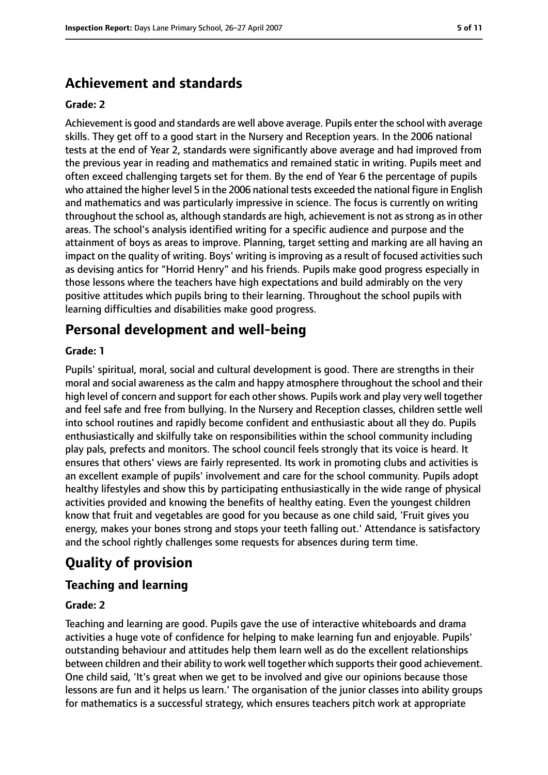### **Achievement and standards**

#### **Grade: 2**

Achievement is good and standards are well above average. Pupils enter the school with average skills. They get off to a good start in the Nursery and Reception years. In the 2006 national tests at the end of Year 2, standards were significantly above average and had improved from the previous year in reading and mathematics and remained static in writing. Pupils meet and often exceed challenging targets set for them. By the end of Year 6 the percentage of pupils who attained the higher level 5 in the 2006 national tests exceeded the national figure in English and mathematics and was particularly impressive in science. The focus is currently on writing throughout the school as, although standards are high, achievement is not as strong as in other areas. The school's analysis identified writing for a specific audience and purpose and the attainment of boys as areas to improve. Planning, target setting and marking are all having an impact on the quality of writing. Boys' writing is improving as a result of focused activities such as devising antics for "Horrid Henry" and his friends. Pupils make good progress especially in those lessons where the teachers have high expectations and build admirably on the very positive attitudes which pupils bring to their learning. Throughout the school pupils with learning difficulties and disabilities make good progress.

### **Personal development and well-being**

#### **Grade: 1**

Pupils' spiritual, moral, social and cultural development is good. There are strengths in their moral and social awareness as the calm and happy atmosphere throughout the school and their high level of concern and support for each other shows. Pupils work and play very well together and feel safe and free from bullying. In the Nursery and Reception classes, children settle well into school routines and rapidly become confident and enthusiastic about all they do. Pupils enthusiastically and skilfully take on responsibilities within the school community including play pals, prefects and monitors. The school council feels strongly that its voice is heard. It ensures that others' views are fairly represented. Its work in promoting clubs and activities is an excellent example of pupils' involvement and care for the school community. Pupils adopt healthy lifestyles and show this by participating enthusiastically in the wide range of physical activities provided and knowing the benefits of healthy eating. Even the youngest children know that fruit and vegetables are good for you because as one child said, 'Fruit gives you energy, makes your bones strong and stops your teeth falling out.' Attendance is satisfactory and the school rightly challenges some requests for absences during term time.

### **Quality of provision**

#### **Teaching and learning**

#### **Grade: 2**

Teaching and learning are good. Pupils gave the use of interactive whiteboards and drama activities a huge vote of confidence for helping to make learning fun and enjoyable. Pupils' outstanding behaviour and attitudes help them learn well as do the excellent relationships between children and their ability to work well together which supports their good achievement. One child said, 'It's great when we get to be involved and give our opinions because those lessons are fun and it helps us learn.' The organisation of the junior classes into ability groups for mathematics is a successful strategy, which ensures teachers pitch work at appropriate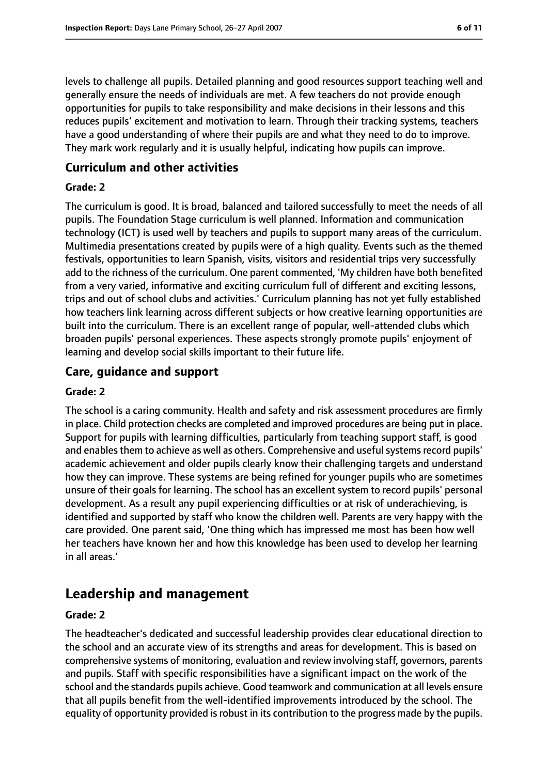levels to challenge all pupils. Detailed planning and good resources support teaching well and generally ensure the needs of individuals are met. A few teachers do not provide enough opportunities for pupils to take responsibility and make decisions in their lessons and this reduces pupils' excitement and motivation to learn. Through their tracking systems, teachers have a good understanding of where their pupils are and what they need to do to improve. They mark work regularly and it is usually helpful, indicating how pupils can improve.

#### **Curriculum and other activities**

#### **Grade: 2**

The curriculum is good. It is broad, balanced and tailored successfully to meet the needs of all pupils. The Foundation Stage curriculum is well planned. Information and communication technology (ICT) is used well by teachers and pupils to support many areas of the curriculum. Multimedia presentations created by pupils were of a high quality. Events such as the themed festivals, opportunities to learn Spanish, visits, visitors and residential trips very successfully add to the richness of the curriculum. One parent commented, 'My children have both benefited from a very varied, informative and exciting curriculum full of different and exciting lessons, trips and out of school clubs and activities.' Curriculum planning has not yet fully established how teachers link learning across different subjects or how creative learning opportunities are built into the curriculum. There is an excellent range of popular, well-attended clubs which broaden pupils' personal experiences. These aspects strongly promote pupils' enjoyment of learning and develop social skills important to their future life.

#### **Care, guidance and support**

#### **Grade: 2**

The school is a caring community. Health and safety and risk assessment procedures are firmly in place. Child protection checks are completed and improved procedures are being put in place. Support for pupils with learning difficulties, particularly from teaching support staff, is good and enables them to achieve as well as others. Comprehensive and useful systems record pupils' academic achievement and older pupils clearly know their challenging targets and understand how they can improve. These systems are being refined for younger pupils who are sometimes unsure of their goals for learning. The school has an excellent system to record pupils' personal development. As a result any pupil experiencing difficulties or at risk of underachieving, is identified and supported by staff who know the children well. Parents are very happy with the care provided. One parent said, 'One thing which has impressed me most has been how well her teachers have known her and how this knowledge has been used to develop her learning in all areas.'

### **Leadership and management**

#### **Grade: 2**

The headteacher's dedicated and successful leadership provides clear educational direction to the school and an accurate view of its strengths and areas for development. This is based on comprehensive systems of monitoring, evaluation and review involving staff, governors, parents and pupils. Staff with specific responsibilities have a significant impact on the work of the school and the standards pupils achieve. Good teamwork and communication at all levels ensure that all pupils benefit from the well-identified improvements introduced by the school. The equality of opportunity provided is robust in its contribution to the progress made by the pupils.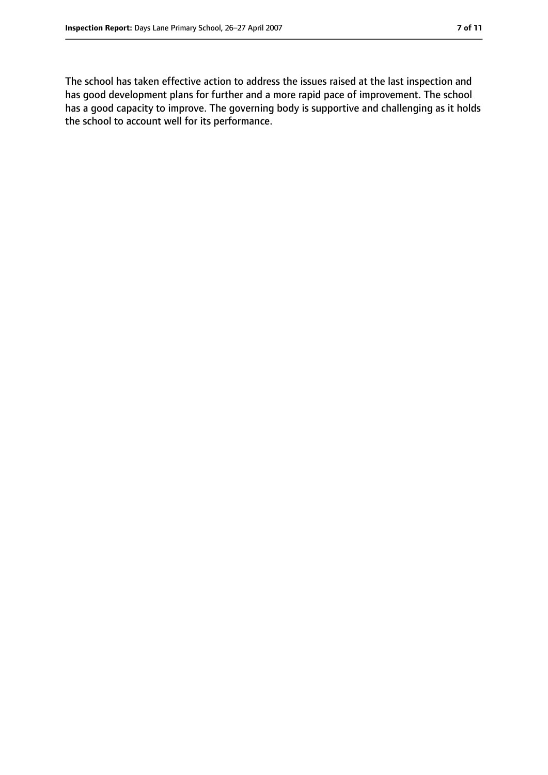The school has taken effective action to address the issues raised at the last inspection and has good development plans for further and a more rapid pace of improvement. The school has a good capacity to improve. The governing body is supportive and challenging as it holds the school to account well for its performance.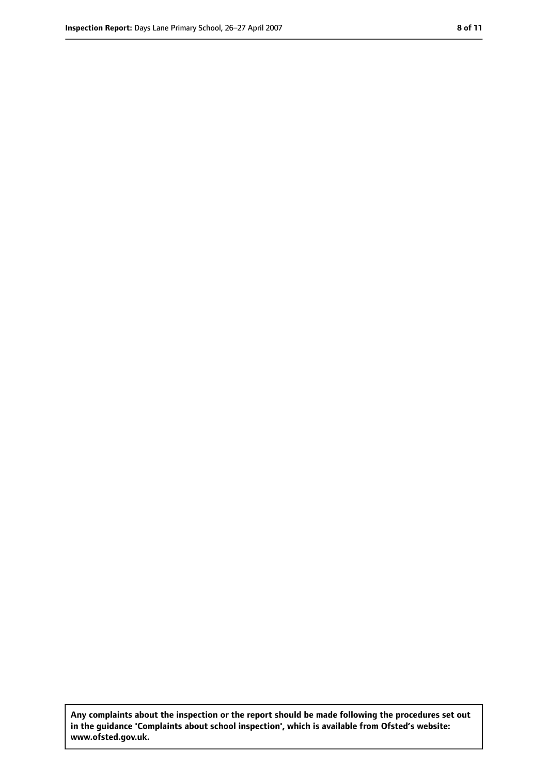**Any complaints about the inspection or the report should be made following the procedures set out in the guidance 'Complaints about school inspection', which is available from Ofsted's website: www.ofsted.gov.uk.**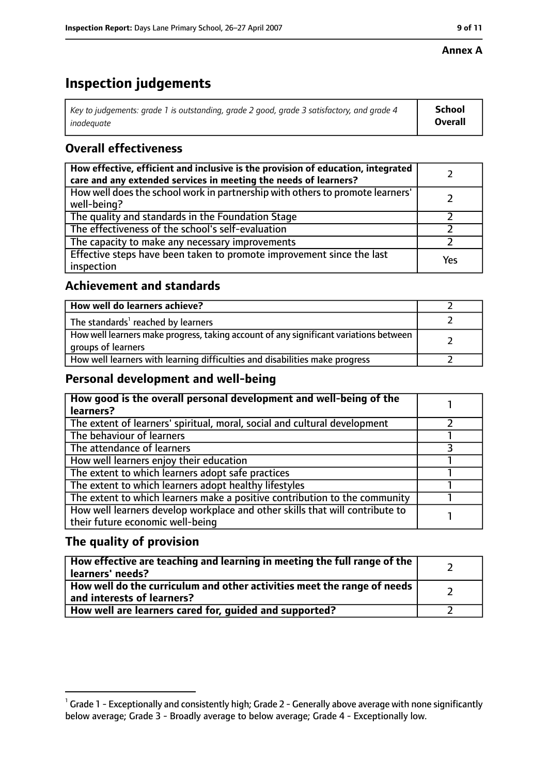#### **Annex A**

### **Inspection judgements**

| Key to judgements: grade 1 is outstanding, grade 2 good, grade 3 satisfactory, and grade 4 $\,$ | <b>School</b>  |
|-------------------------------------------------------------------------------------------------|----------------|
| inadequate                                                                                      | <b>Overall</b> |

### **Overall effectiveness**

| How effective, efficient and inclusive is the provision of education, integrated<br>care and any extended services in meeting the needs of learners? |     |
|------------------------------------------------------------------------------------------------------------------------------------------------------|-----|
| How well does the school work in partnership with others to promote learners'<br>well-being?                                                         |     |
| The quality and standards in the Foundation Stage                                                                                                    |     |
| The effectiveness of the school's self-evaluation                                                                                                    |     |
| The capacity to make any necessary improvements                                                                                                      |     |
| Effective steps have been taken to promote improvement since the last<br>inspection                                                                  | Yes |

#### **Achievement and standards**

| How well do learners achieve?                                                                               |  |
|-------------------------------------------------------------------------------------------------------------|--|
| The standards <sup>1</sup> reached by learners                                                              |  |
| How well learners make progress, taking account of any significant variations between<br>groups of learners |  |
| How well learners with learning difficulties and disabilities make progress                                 |  |

#### **Personal development and well-being**

| How good is the overall personal development and well-being of the<br>learners?                                  |  |
|------------------------------------------------------------------------------------------------------------------|--|
| The extent of learners' spiritual, moral, social and cultural development                                        |  |
| The behaviour of learners                                                                                        |  |
| The attendance of learners                                                                                       |  |
| How well learners enjoy their education                                                                          |  |
| The extent to which learners adopt safe practices                                                                |  |
| The extent to which learners adopt healthy lifestyles                                                            |  |
| The extent to which learners make a positive contribution to the community                                       |  |
| How well learners develop workplace and other skills that will contribute to<br>their future economic well-being |  |

### **The quality of provision**

| How effective are teaching and learning in meeting the full range of the<br>learners' needs?          |  |
|-------------------------------------------------------------------------------------------------------|--|
| How well do the curriculum and other activities meet the range of needs<br>and interests of learners? |  |
| How well are learners cared for, guided and supported?                                                |  |

 $^1$  Grade 1 - Exceptionally and consistently high; Grade 2 - Generally above average with none significantly below average; Grade 3 - Broadly average to below average; Grade 4 - Exceptionally low.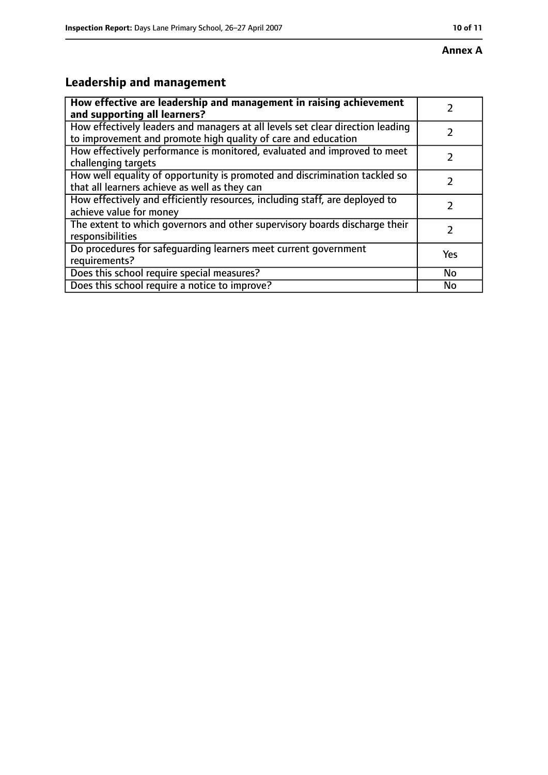## **Leadership and management**

| How effective are leadership and management in raising achievement<br>and supporting all learners?                                              |     |
|-------------------------------------------------------------------------------------------------------------------------------------------------|-----|
| How effectively leaders and managers at all levels set clear direction leading<br>to improvement and promote high quality of care and education |     |
| How effectively performance is monitored, evaluated and improved to meet<br>challenging targets                                                 |     |
| How well equality of opportunity is promoted and discrimination tackled so<br>that all learners achieve as well as they can                     |     |
| How effectively and efficiently resources, including staff, are deployed to<br>achieve value for money                                          | 2   |
| The extent to which governors and other supervisory boards discharge their<br>responsibilities                                                  | 2   |
| Do procedures for safequarding learners meet current government<br>requirements?                                                                | Yes |
| Does this school require special measures?                                                                                                      | No  |
| Does this school require a notice to improve?                                                                                                   | No  |